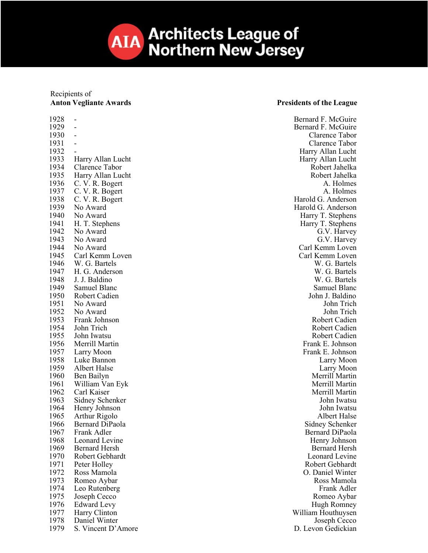**Architects League of AIA Northern New Jersey** 

## Recipients of **Anton Vegliante Awards Presidents of the League**

1928 1929 1930 1931 1932<br>1933 1933 Harry Allan Lucht<br>1934 Clarence Tabor 1935 Harry Allan Lucht Robert Jahelka<br>1936 C.V. R. Bogert Robert Jahelka 1936 C. V. R. Bogert A. Holmes<br>1937 C. V. R. Bogert A. Holmes 1937 C. V. R. Bogert<br>1938 C. V. R. Bogert 1938 C. V. R. Bogert Harold G. Anderson<br>1939 No Award Harold G. Anderson 1939 No Award Harold G. Anderson<br>
1940 No Award Harry T. Stephens 1941 H. T. Stephens Harry T. Stephens Harry T. Stephens Harry T. Stephens Harry T. Stephens Harry T. Stephens 1942 No Award G.V. Harvey<br>
1943 No Award G.V. Harvey 1943 No Award G.V. Harvey 1944 No Award Carl Kemm Loven<br>1945 Carl Kemm Loven Carl Kemm Loven Carl Kemm Loven 1946 W. G. Bartels W. G. Bartels 1947 H. G. Anderson W. G. Bartels<br>1948 J. J. Baldino W. G. Bartels 1948 J. J. Baldino W. G. Bartels<br>1949 Samuel Blanc Samuel Blanc 1949 Samuel Blanc Samuel Blanc Samuel Blanc Samuel Blanc Samuel Blanc Samuel Blanc Samuel Blanc Samuel Blanc Samuel Blanc Samuel Blanc Samuel Blanc Samuel Blanc Samuel Blanc Samuel Blanc Samuel Blanc Samuel Blanc Samuel Bl 1950 Robert Cadien John J. Baldino<br>1951 No Award John Trich 1951 No Award John Trich 1952 No Award John Trich 1953 Frank Johnson Robert Cadien 1954 John Trich Robert Cadien<br>1955 John Iwatsu Robert Cadien 1956 Merrill Martin **Frank E.** Johnson 1957 Larry Moon Frank E. Johnson<br>1958 Luke Bannon Larry Moon Larry Moon 1958 Luke Bannon Larry Moon<br>1959 Albert Halse Larry Moon Larry Moon 1960 Ben Bailyn Merrill Martin (1960 Ben Bailyn Merrill Martin Merrill Martin Merrill Martin (1961 Ben Bailyn Merrill Martin (1961 Ben Bailyn Merrill Martin (1970) 1961 William Van Eyk<br>1962 – Carl Kaiser 1962 Carl Kaiser Merrill Martin (1963 Sidney Schenker Merrill Martin (1963 Sidney Schenker Merrill Martin (196<br>1963 Sidney Schenker Merrill Martsu 1963 Sidney Schenker John Iwatsu<br>1964 Henry Johnson John Iwatsu Henry Johnson 1965 Arthur Rigolo **Albert Halse** 1966 Bernard DiPaola<br>1967 Frank Adler Schenker Schenker Schenker Sidney Schenker Sidney Schenker 1968 Leonard Levine **Henry Johnson**<br>1969 Bernard Hersh **Henry Johnson**<br>1969 Bernard Hersh 1969 Bernard Hersh Bernard Hersh Bernard Hersh Bernard Hersh Bernard Hersh Bernard Hersh Bernard Hersh Bernard Hersh Bernard Hersh Bernard Hersh Bernard Hersh Bernard Hersh Bernard Hersh Bernard Hersh Bernard Hersh Bernard Robert Gebhardt 1971 Peter Holley **Robert Gebhardt** 1972 Ross Mamola<br>1973 Romeo Aybar **Carl Contract Contract Contract Contract Contract Contract Contract Contract Contract Contract Contract Contract Contract Contract Contract Contract Contract Contract Contract Contract Co** Romeo Aybar 1974 Leo Rutenberg Frank Adler<br>1975 Joseph Cecco **Frank Adler** Frank Adler 1975 Joseph Cecco **Romeo Aybar**<br>1976 Edward Levy **Romeo Aybar**<br>1976 Edward Levy 1977 Harry Clinton William Houthuysen 1978 Daniel Winter Joseph Cecco<br>
1979 S. Vincent D'Amore<br>
1979 S. Vincent D'Amore

Bernard F. McGuire -<br>
Bernard F. McGuire<br>
Clarence Tabor Clarence Tabor - Clarence Tabor and the contract of the contract of the Clarence Tabor contract of the Clarence Tabor contract of the contract of the contract of the contract of the contract of the contract of the contract of the contrac Harry Allan Lucht<br>Harry Allan Lucht **1934 Clarence Tabor** Robert Jahelka 1940 No Award Harry T. Stephens 1945 Carl Kemm Loven Carl Kemm Loven 1955 John Iwatsu Robert Cadien<br>1955 - Robert Cadien<br>1955 - Robert Cadien<br>1955 - Robert Cadien<br>1955 - Robert Cadien 1959 Albert Halse Larry Moon Bernard DiPaola 1976 Edward Levy **1976** Edward Levy **Hugh Romney** 1979 S. Vincent D'Amore D. Levon Gedickian